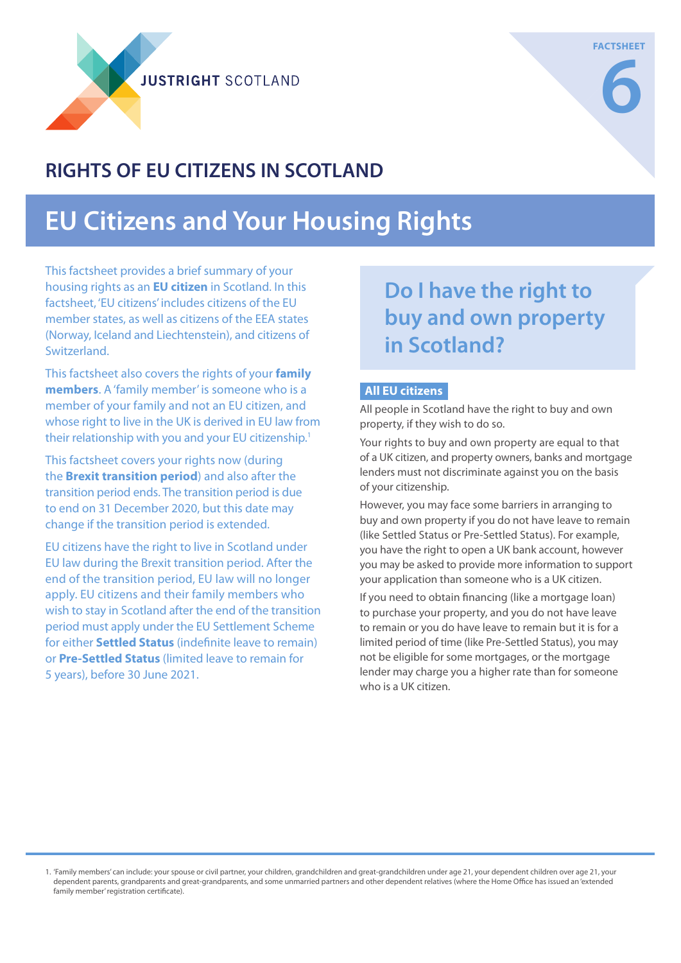**JUSTRIGHT SCOTI AND** 

### **RIGHTS OF EU CITIZENS IN SCOTLAND**

# **EU Citizens and Your Housing Rights**

This factsheet provides a brief summary of your housing rights as an **EU citizen** in Scotland. In this factsheet, 'EU citizens' includes citizens of the EU member states, as well as citizens of the EEA states (Norway, Iceland and Liechtenstein), and citizens of Switzerland.

This factsheet also covers the rights of your **family members**. A 'family member' is someone who is a member of your family and not an EU citizen, and whose right to live in the UK is derived in EU law from their relationship with you and your EU citizenship.<sup>1</sup>

This factsheet covers your rights now (during the **Brexit transition period**) and also after the transition period ends. The transition period is due to end on 31 December 2020, but this date may change if the transition period is extended.

EU citizens have the right to live in Scotland under EU law during the Brexit transition period. After the end of the transition period, EU law will no longer apply. EU citizens and their family members who wish to stay in Scotland after the end of the transition period must apply under the EU Settlement Scheme for either **Settled Status** (indefinite leave to remain) or **Pre-Settled Status** (limited leave to remain for 5 years), before 30 June 2021.

**Do I have the right to buy and own property in Scotland?**

### **All EU citizens**

All people in Scotland have the right to buy and own property, if they wish to do so.

Your rights to buy and own property are equal to that of a UK citizen, and property owners, banks and mortgage lenders must not discriminate against you on the basis of your citizenship.

However, you may face some barriers in arranging to buy and own property if you do not have leave to remain (like Settled Status or Pre-Settled Status). For example, you have the right to open a UK bank account, however you may be asked to provide more information to support your application than someone who is a UK citizen.

If you need to obtain financing (like a mortgage loan) to purchase your property, and you do not have leave to remain or you do have leave to remain but it is for a limited period of time (like Pre-Settled Status), you may not be eligible for some mortgages, or the mortgage lender may charge you a higher rate than for someone who is a UK citizen.

1. 'Family members' can include: your spouse or civil partner, your children, grandchildren and great-grandchildren under age 21, your dependent children over age 21, your dependent parents, grandparents and great-grandparents, and some unmarried partners and other dependent relatives (where the Home Office has issued an 'extended family member' registration certificate).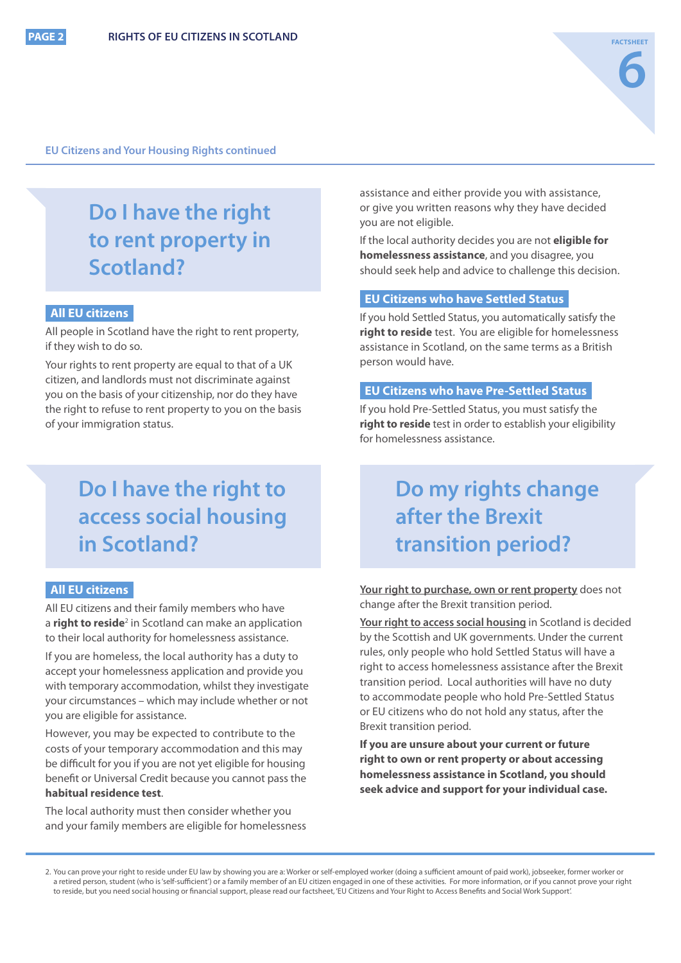#### **EU Citizens and Your Housing Rights continued**

## **Do I have the right to rent property in Scotland?**

### **All EU citizens**

All people in Scotland have the right to rent property, if they wish to do so.

Your rights to rent property are equal to that of a UK citizen, and landlords must not discriminate against you on the basis of your citizenship, nor do they have the right to refuse to rent property to you on the basis of your immigration status.

### **Do I have the right to access social housing in Scotland?**

#### **All EU citizens**

All EU citizens and their family members who have a **right to reside**<sup>2</sup> in Scotland can make an application to their local authority for homelessness assistance.

If you are homeless, the local authority has a duty to accept your homelessness application and provide you with temporary accommodation, whilst they investigate your circumstances – which may include whether or not you are eligible for assistance.

However, you may be expected to contribute to the costs of your temporary accommodation and this may be difficult for you if you are not yet eligible for housing benefit or Universal Credit because you cannot pass the **habitual residence test**.

The local authority must then consider whether you and your family members are eligible for homelessness assistance and either provide you with assistance, or give you written reasons why they have decided you are not eligible.

If the local authority decides you are not **eligible for homelessness assistance**, and you disagree, you should seek help and advice to challenge this decision.

### **EU Citizens who have Settled Status**

If you hold Settled Status, you automatically satisfy the **right to reside** test. You are eligible for homelessness assistance in Scotland, on the same terms as a British person would have.

#### **EU Citizens who have Pre-Settled Status**

If you hold Pre-Settled Status, you must satisfy the **right to reside** test in order to establish your eligibility for homelessness assistance.

### **Do my rights change after the Brexit transition period?**

**Your right to purchase, own or rent property** does not change after the Brexit transition period.

**Your right to access social housing** in Scotland is decided by the Scottish and UK governments. Under the current rules, only people who hold Settled Status will have a right to access homelessness assistance after the Brexit transition period. Local authorities will have no duty to accommodate people who hold Pre-Settled Status or EU citizens who do not hold any status, after the Brexit transition period.

**If you are unsure about your current or future right to own or rent property or about accessing homelessness assistance in Scotland, you should seek advice and support for your individual case.**

<sup>2.</sup> You can prove your right to reside under EU law by showing you are a: Worker or self-employed worker (doing a sufficient amount of paid work), jobseeker, former worker or a retired person, student (who is 'self-sufficient') or a family member of an EU citizen engaged in one of these activities. For more information, or if you cannot prove your right to reside, but you need social housing or financial support, please read our factsheet, 'EU Citizens and Your Right to Access Benefits and Social Work Support'.